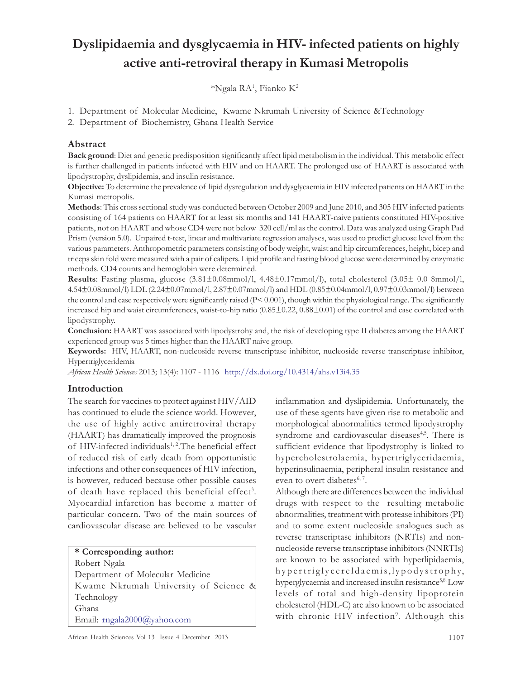# Dyslipidaemia and dysglycaemia in HIV- infected patients on highly active anti-retroviral therapy in Kumasi Metropolis

 $^*$ Ngala RA<sup>1</sup>, Fianko K<sup>2</sup>

1. Department of Molecular Medicine, Kwame Nkrumah University of Science &Technology

2. Department of Biochemistry, Ghana Health Service

### Abstract

Back ground: Diet and genetic predisposition significantly affect lipid metabolism in the individual. This metabolic effect is further challenged in patients infected with HIV and on HAART. The prolonged use of HAART is associated with lipodystrophy, dyslipidemia, and insulin resistance.

Objective: To determine the prevalence of lipid dysregulation and dysglycaemia in HIV infected patients on HAART in the Kumasi metropolis.

Methods: This cross sectional study was conducted between October 2009 and June 2010, and 305 HIV-infected patients consisting of 164 patients on HAART for at least six months and 141 HAART-naive patients constituted HIV-positive patients, not on HAART and whose CD4 were not below 320 cell/ml as the control. Data was analyzed using Graph Pad Prism (version 5.0). Unpaired t-test, linear and multivariate regression analyses, was used to predict glucose level from the various parameters. Anthropometric parameters consisting of body weight, waist and hip circumferences, height, bicep and triceps skin fold were measured with a pair of calipers. Lipid profile and fasting blood glucose were determined by enzymatic methods. CD4 counts and hemoglobin were determined.

**Results**: Fasting plasma, glucose  $(3.81\pm0.08$ mmol/l,  $4.48\pm0.17$ mmol/l), total cholesterol  $(3.05\pm 0.08$ mmol/l, 4.54±0.08mmol/l) LDL (2.24±0.07mmol/l, 2.87±0.07mmol/l) and HDL (0.85±0.04mmol/l, 0.97±0.03mmol/l) between the control and case respectively were significantly raised  $(P< 0.001)$ , though within the physiological range. The significantly increased hip and waist circumferences, waist-to-hip ratio (0.85±0.22, 0.88±0.01) of the control and case correlated with lipodystrophy.

Conclusion: HAART was associated with lipodystrohy and, the risk of developing type II diabetes among the HAART experienced group was 5 times higher than the HAART naive group.

Keywords: HIV, HAART, non-nucleoside reverse transcriptase inhibitor, nucleoside reverse transcriptase inhibitor, Hypertriglyceridemia

African Health Sciences 2013; 13(4): 1107 - 1116 http://dx.doi.org/10.4314/ahs.v13i4.35

## Introduction

The search for vaccines to protect against HIV/AID has continued to elude the science world. However, the use of highly active antiretroviral therapy (HAART) has dramatically improved the prognosis of HIV-infected individuals<sup>1, 2</sup>. The beneficial effect of reduced risk of early death from opportunistic infections and other consequences of HIV infection, is however, reduced because other possible causes of death have replaced this beneficial effect<sup>3</sup>. Myocardial infarction has become a matter of particular concern. Two of the main sources of cardiovascular disease are believed to be vascular

inflammation and dyslipidemia. Unfortunately, the use of these agents have given rise to metabolic and morphological abnormalities termed lipodystrophy syndrome and cardiovascular diseases<sup>4,5</sup>. There is sufficient evidence that lipodystrophy is linked to hypercholestrolaemia, hypertriglyceridaemia, hyperinsulinaemia, peripheral insulin resistance and even to overt diabetes<sup>6, 7</sup>.

Although there are differences between the individual drugs with respect to the resulting metabolic abnormalities, treatment with protease inhibitors (PI) and to some extent nucleoside analogues such as reverse transcriptase inhibitors (NRTIs) and nonnucleoside reverse transcriptase inhibitors (NNRTIs) are known to be associated with hyperlipidaemia, hypertriglycereldaemis, lypodystrophy, hyperglycaemia and increased insulin resistance<sup>5,8</sup> Low levels of total and high-density lipoprotein cholesterol (HDL-C) are also known to be associated with chronic HIV infection<sup>9</sup>. Although this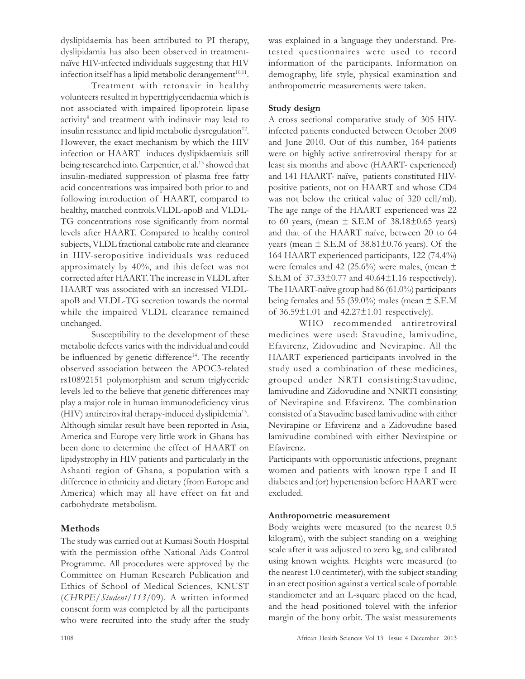dyslipidaemia has been attributed to PI therapy, dyslipidamia has also been observed in treatmentnaïve HIV-infected individuals suggesting that HIV infection itself has a lipid metabolic derangement $^{10,11}$ .

Treatment with retonavir in healthy volunteers resulted in hypertriglyceridaemia which is not associated with impaired lipoprotein lipase activity<sup>9</sup> and treatment with indinavir may lead to insulin resistance and lipid metabolic dysregulation $^{12}$ . However, the exact mechanism by which the HIV infection or HAART induces dyslipidaemiais still being researched into. Carpentier, et al.<sup>13</sup> showed that insulin-mediated suppression of plasma free fatty acid concentrations was impaired both prior to and following introduction of HAART, compared to healthy, matched controls.VLDL-apoB and VLDL-TG concentrations rose significantly from normal levels after HAART. Compared to healthy control subjects, VLDL fractional catabolic rate and clearance in HIV-seropositive individuals was reduced approximately by 40%, and this defect was not corrected after HAART. The increase in VLDL after HAART was associated with an increased VLDLapoB and VLDL-TG secretion towards the normal while the impaired VLDL clearance remained unchanged.

Susceptibility to the development of these metabolic defects varies with the individual and could be influenced by genetic difference<sup>14</sup>. The recently observed association between the APOC3-related rs10892151 polymorphism and serum triglyceride levels led to the believe that genetic differences may play a major role in human immunodeficiency virus (HIV) antiretroviral therapy-induced dyslipidemia<sup>15</sup> . Although similar result have been reported in Asia, America and Europe very little work in Ghana has been done to determine the effect of HAART on lipidystrophy in HIV patients and particularly in the Ashanti region of Ghana, a population with a difference in ethnicity and dietary (from Europe and America) which may all have effect on fat and carbohydrate metabolism.

# Methods

The study was carried out at Kumasi South Hospital with the permission ofthe National Aids Control Programme. All procedures were approved by the Committee on Human Research Publication and Ethics of School of Medical Sciences, KNUST (CHRPE/Student/113/09). A written informed consent form was completed by all the participants who were recruited into the study after the study was explained in a language they understand. Pretested questionnaires were used to record information of the participants. Information on demography, life style, physical examination and anthropometric measurements were taken.

## Study design

A cross sectional comparative study of 305 HIVinfected patients conducted between October 2009 and June 2010. Out of this number, 164 patients were on highly active antiretroviral therapy for at least six months and above (HAART- experienced) and 141 HAART- naïve, patients constituted HIVpositive patients, not on HAART and whose CD4 was not below the critical value of 320 cell/ml). The age range of the HAART experienced was 22 to 60 years, (mean  $\pm$  S.E.M of 38.18 $\pm$ 0.65 years) and that of the HAART naïve, between 20 to 64 years (mean  $\pm$  S.E.M of 38.81 $\pm$ 0.76 years). Of the 164 HAART experienced participants, 122 (74.4%) were females and 42 (25.6%) were males, (mean  $\pm$ S.E.M of 37.33±0.77 and 40.64±1.16 respectively). The HAART-naïve group had 86 (61.0%) participants being females and 55 (39.0%) males (mean  $\pm$  S.E.M of 36.59±1.01 and 42.27±1.01 respectively).

WHO recommended antiretroviral medicines were used: Stavudine, lamivudine, Efavirenz, Zidovudine and Nevirapine. All the HAART experienced participants involved in the study used a combination of these medicines, grouped under NRTI consisting:Stavudine, lamivudine and Zidovudine and NNRTI consisting of Nevirapine and Efavirenz. The combination consisted of a Stavudine based lamivudine with either Nevirapine or Efavirenz and a Zidovudine based lamivudine combined with either Nevirapine or Efavirenz.

Participants with opportunistic infections, pregnant women and patients with known type I and II diabetes and (or) hypertension before HAART were excluded.

## Anthropometric measurement

Body weights were measured (to the nearest 0.5 kilogram), with the subject standing on a weighing scale after it was adjusted to zero kg, and calibrated using known weights. Heights were measured (to the nearest 1.0 centimeter), with the subject standing in an erect position against a vertical scale of portable standiometer and an L-square placed on the head, and the head positioned tolevel with the inferior margin of the bony orbit. The waist measurements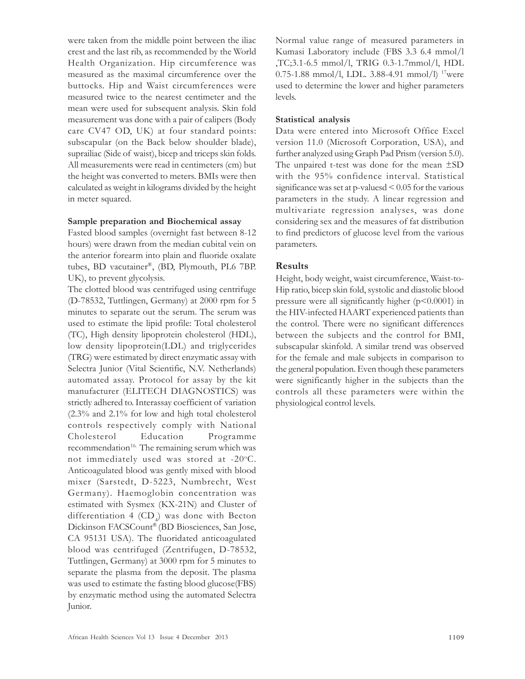were taken from the middle point between the iliac crest and the last rib, as recommended by the World Health Organization. Hip circumference was measured as the maximal circumference over the buttocks. Hip and Waist circumferences were measured twice to the nearest centimeter and the mean were used for subsequent analysis. Skin fold measurement was done with a pair of calipers (Body care CV47 OD, UK) at four standard points: subscapular (on the Back below shoulder blade), suprailiac (Side of waist), bicep and triceps skin folds. All measurements were read in centimeters (cm) but the height was converted to meters. BMIs were then calculated as weight in kilograms divided by the height in meter squared.

#### Sample preparation and Biochemical assay

Fasted blood samples (overnight fast between 8-12 hours) were drawn from the median cubital vein on the anterior forearm into plain and fluoride oxalate tubes, BD vacutainer®, (BD, Plymouth, PL6 7BP. UK), to prevent glycolysis.

The clotted blood was centrifuged using centrifuge (D-78532, Tuttlingen, Germany) at 2000 rpm for 5 minutes to separate out the serum. The serum was used to estimate the lipid profile: Total cholesterol (TC), High density lipoprotein cholesterol (HDL), low density lipoprotein(LDL) and triglycerides (TRG) were estimated by direct enzymatic assay with Selectra Junior (Vital Scientific, N.V. Netherlands) automated assay. Protocol for assay by the kit manufacturer (ELITECH DIAGNOSTICS) was strictly adhered to. Interassay coefficient of variation (2.3% and 2.1% for low and high total cholesterol controls respectively comply with National Cholesterol Education Programme recommendation<sup>16.</sup> The remaining serum which was not immediately used was stored at  $-20^{\circ}$ C. Anticoagulated blood was gently mixed with blood mixer (Sarstedt, D-5223, Numbrecht, West Germany). Haemoglobin concentration was estimated with Sysmex (KX-21N) and Cluster of differentiation 4  $(CD_4)$  was done with Becton Dickinson FACSCount® (BD Biosciences, San Jose, CA 95131 USA). The fluoridated anticoagulated blood was centrifuged (Zentrifugen, D-78532, Tuttlingen, Germany) at 3000 rpm for 5 minutes to separate the plasma from the deposit. The plasma was used to estimate the fasting blood glucose(FBS) by enzymatic method using the automated Selectra Junior.

Normal value range of measured parameters in Kumasi Laboratory include (FBS 3.3 6.4 mmol/l ,TC;3.1-6.5 mmol/l, TRIG 0.3-1.7mmol/l, HDL 0.75-1.88 mmol/l, LDL. 3.88-4.91 mmol/l) <sup>17</sup>were used to determine the lower and higher parameters levels.

#### Statistical analysis

Data were entered into Microsoft Office Excel version 11.0 (Microsoft Corporation, USA), and further analyzed using Graph Pad Prism (version 5.0). The unpaired t-test was done for the mean ±SD with the 95% confidence interval. Statistical significance was set at  $p$ -valuesd  $\leq 0.05$  for the various parameters in the study. A linear regression and multivariate regression analyses, was done considering sex and the measures of fat distribution to find predictors of glucose level from the various parameters.

## Results

Height, body weight, waist circumference, Waist-to-Hip ratio, bicep skin fold, systolic and diastolic blood pressure were all significantly higher  $(p<0.0001)$  in the HIV-infected HAART experienced patients than the control. There were no significant differences between the subjects and the control for BMI, subscapular skinfold. A similar trend was observed for the female and male subjects in comparison to the general population. Even though these parameters were significantly higher in the subjects than the controls all these parameters were within the physiological control levels.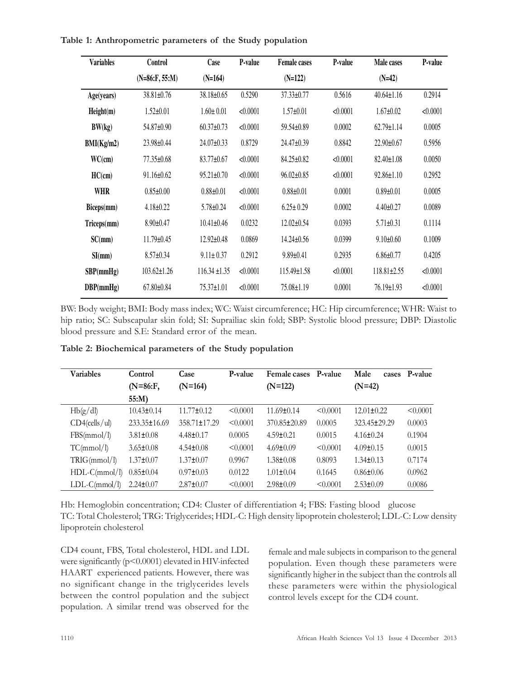| Table 1: Anthropometric parameters of the Study population |  |
|------------------------------------------------------------|--|
|------------------------------------------------------------|--|

| <b>Variables</b> | Control           | Case              | P-value  | <b>Female</b> cases | P-value  | Male cases        | P-value  |
|------------------|-------------------|-------------------|----------|---------------------|----------|-------------------|----------|
|                  | $(N=86: F, 55:M)$ | $(N=164)$         |          | $(N=122)$           |          | $(N=42)$          |          |
| Age(years)       | 38.81±0.76        | 38.18±0.65        | 0.5290   | $37.33 \pm 0.77$    | 0.5616   | $40.64 \pm 1.16$  | 0.2914   |
| Height(m)        | $1.52 \pm 0.01$   | $1.60 \pm 0.01$   | < 0.0001 | $1.57 \pm 0.01$     | < 0.0001 | $1.67 \pm 0.02$   | < 0.0001 |
| BW(kg)           | 54.87±0.90        | $60.37 \pm 0.73$  | < 0.0001 | 59.54±0.89          | 0.0002   | $62.79 \pm 1.14$  | 0.0005   |
| BMI(Kg/m2)       | 23.98±0.44        | 24.07±0.33        | 0.8729   | 24.47±0.39          | 0.8842   | $22.90 \pm 0.67$  | 0.5956   |
| WC(cm)           | 77.35±0.68        | $83.77 \pm 0.67$  | < 0.0001 | 84.25±0.82          | < 0.0001 | $82.40 \pm 1.08$  | 0.0050   |
| HC(cm)           | $91.16 \pm 0.62$  | $95.21 \pm 0.70$  | < 0.0001 | $96.02 \pm 0.85$    | < 0.0001 | $92.86 \pm 1.10$  | 0.2952   |
| <b>WHR</b>       | $0.85 \pm 0.00$   | $0.88 \pm 0.01$   | < 0.0001 | $0.88 \pm 0.01$     | 0.0001   | $0.89 \pm 0.01$   | 0.0005   |
| Biceps(mm)       | $4.18 \pm 0.22$   | $5.78 \pm 0.24$   | < 0.0001 | $6.25 \pm 0.29$     | 0.0002   | $4.40 \pm 0.27$   | 0.0089   |
| Triceps(mm)      | $8.90 \pm 0.47$   | $10.41 \pm 0.46$  | 0.0232   | $12.02 \pm 0.54$    | 0.0393   | $5.71 \pm 0.31$   | 0.1114   |
| SC(mm)           | 11.79±0.45        | $12.92 \pm 0.48$  | 0.0869   | $14.24 \pm 0.56$    | 0.0399   | $9.10 \pm 0.60$   | 0.1009   |
| SI(mm)           | $8.57 \pm 0.34$   | $9.11 \pm 0.37$   | 0.2912   | $9.89 \pm 0.41$     | 0.2935   | $6.86 \pm 0.77$   | 0.4205   |
| SBP(mmHg)        | $103.62 \pm 1.26$ | $116.34 \pm 1.35$ | < 0.0001 | $115.49 \pm 1.58$   | < 0.0001 | $118.81 \pm 2.55$ | < 0.0001 |
| DBP(mmHg)        | $67.80 \pm 0.84$  | $75.37 \pm 1.01$  | < 0.0001 | 75.08±1.19          | 0.0001   | $76.19 \pm 1.93$  | < 0.0001 |

BW: Body weight; BMI: Body mass index; WC: Waist circumference; HC: Hip circumference; WHR: Waist to hip ratio; SC: Subscapular skin fold; SI: Suprailiac skin fold; SBP: Systolic blood pressure; DBP: Diastolic blood pressure and S.E: Standard error of the mean.

| Variables        | Control          | Case               | P-value  | <b>Female cases</b> | P-value  | Male<br>cases    | P-value  |
|------------------|------------------|--------------------|----------|---------------------|----------|------------------|----------|
|                  | $(N=86:F,$       | $(N=164)$          |          | $(N=122)$           |          | $(N=42)$         |          |
|                  | $55:M$ )         |                    |          |                     |          |                  |          |
| Hb(g/dl)         | $10.43 \pm 0.14$ | $11.77 \pm 0.12$   | < 0.0001 | $11.69 \pm 0.14$    | < 0.0001 | $12.01 \pm 0.22$ | < 0.0001 |
| $CD4$ (cells/ul) | 233.35±16.69     | $358.71 \pm 17.29$ | < 0.0001 | 370.85±20.89        | 0.0005   | 323.45±29.29     | 0.0003   |
| FBS(mmol/l)      | $3.81 \pm 0.08$  | $4.48 \pm 0.17$    | 0.0005   | $4.59 \pm 0.21$     | 0.0015   | $4.16 \pm 0.24$  | 0.1904   |
| TC(mmol/l)       | $3.65 \pm 0.08$  | $4.54 \pm 0.08$    | < 0.0001 | $4.69 \pm 0.09$     | < 0.0001 | $4.09 \pm 0.15$  | 0.0015   |
| TRIG(mmol/l)     | $1.37 \pm 0.07$  | $1.37 \pm 0.07$    | 0.9967   | $1.38 \pm 0.08$     | 0.8093   | $1.34 \pm 0.13$  | 0.7174   |
| $HDL-C(mmol/l)$  | $0.85 \pm 0.04$  | $0.97 \pm 0.03$    | 0.0122   | $1.01 \pm 0.04$     | 0.1645   | $0.86 \pm 0.06$  | 0.0962   |
| $LDL-C(mmol/l)$  | $2.24 \pm 0.07$  | $2.87 \pm 0.07$    | < 0.0001 | $2.98 \pm 0.09$     | < 0.0001 | $2.53 \pm 0.09$  | 0.0086   |

Table 2: Biochemical parameters of the Study population

Hb: Hemoglobin concentration; CD4: Cluster of differentiation 4; FBS: Fasting blood glucose TC: Total Cholesterol; TRG: Triglycerides; HDL-C: High density lipoprotein cholesterol; LDL-C: Low density lipoprotein cholesterol

CD4 count, FBS, Total cholesterol, HDL and LDL were significantly (p<0.0001) elevated in HIV-infected HAART experienced patients. However, there was no significant change in the triglycerides levels between the control population and the subject population. A similar trend was observed for the

female and male subjects in comparison to the general population. Even though these parameters were significantly higher in the subject than the controls all these parameters were within the physiological control levels except for the CD4 count.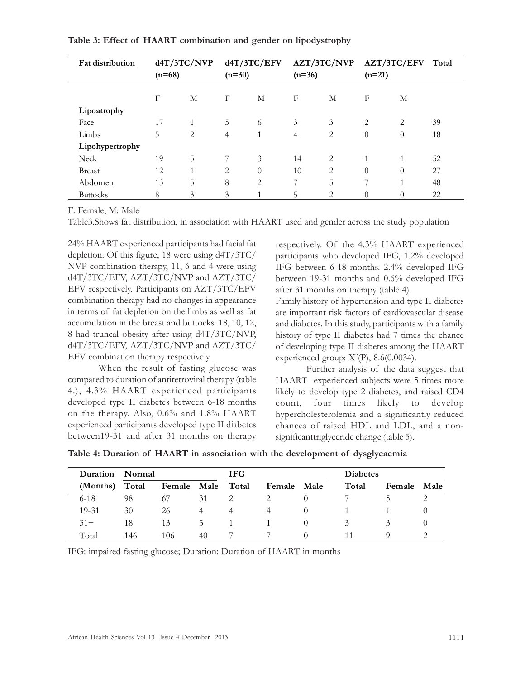| <b>Fat distribution</b> |          | d4T/3TC/NVP |          | d4T/3TC/EFV    |          | AZT/3TC/NVP    |          | AZT/3TC/EFV    | Total |
|-------------------------|----------|-------------|----------|----------------|----------|----------------|----------|----------------|-------|
|                         | $(n=68)$ |             | $(n=30)$ |                | $(n=36)$ |                | $(n=21)$ |                |       |
|                         |          |             |          |                |          |                |          |                |       |
|                         | F        | М           | F        | M              | F        | М              | F        | М              |       |
| Lipoatrophy             |          |             |          |                |          |                |          |                |       |
| Face                    | 17       |             | 5        | 6              | 3        | 3              | 2        | $\overline{2}$ | 39    |
| Limbs                   | 5        | 2           | 4        | 1              | 4        | 2              | $\theta$ | $\theta$       | 18    |
| Lipohypertrophy         |          |             |          |                |          |                |          |                |       |
| Neck                    | 19       | 5           | 7        | 3              | 14       | 2              | 1        | -1             | 52    |
| <b>Breast</b>           | 12       |             | 2        | $\Omega$       | 10       | $\overline{2}$ | $\theta$ | $\theta$       | 27    |
| Abdomen                 | 13       | 5           | 8        | $\overline{2}$ | 7        | 5              | 7        |                | 48    |
| <b>Buttocks</b>         | 8        | 3           | 3        |                | 5        | 2              | $\theta$ | 0              | 22    |

#### Table 3: Effect of HAART combination and gender on lipodystrophy

F: Female, M: Male

Table3.Shows fat distribution, in association with HAART used and gender across the study population

24% HAART experienced participants had facial fat depletion. Of this figure, 18 were using d4T/3TC/ NVP combination therapy, 11, 6 and 4 were using d4T/3TC/EFV, AZT/3TC/NVP and AZT/3TC/ EFV respectively. Participants on AZT/3TC/EFV combination therapy had no changes in appearance in terms of fat depletion on the limbs as well as fat accumulation in the breast and buttocks. 18, 10, 12, 8 had truncal obesity after using d4T/3TC/NVP, d4T/3TC/EFV, AZT/3TC/NVP and AZT/3TC/ EFV combination therapy respectively.

When the result of fasting glucose was compared to duration of antiretroviral therapy (table 4.), 4.3% HAART experienced participants developed type II diabetes between 6-18 months on the therapy. Also, 0.6% and 1.8% HAART experienced participants developed type II diabetes between19-31 and after 31 months on therapy respectively. Of the 4.3% HAART experienced participants who developed IFG, 1.2% developed IFG between 6-18 months. 2.4% developed IFG between 19-31 months and 0.6% developed IFG after 31 months on therapy (table 4).

Family history of hypertension and type II diabetes are important risk factors of cardiovascular disease and diabetes. In this study, participants with a family history of type II diabetes had 7 times the chance of developing type II diabetes among the HAART experienced group:  $X^2(P)$ , 8.6(0.0034).

Further analysis of the data suggest that HAART experienced subjects were 5 times more likely to develop type 2 diabetes, and raised CD4 count, four times likely to develop hypercholesterolemia and a significantly reduced chances of raised HDL and LDL, and a nonsignificanttriglyceride change (table 5).

| Table 4: Duration of HAART in association with the development of dysglycaemia |  |  |  |  |  |  |
|--------------------------------------------------------------------------------|--|--|--|--|--|--|
|--------------------------------------------------------------------------------|--|--|--|--|--|--|

| Duration | Normal |                   |    | <b>IFG</b> |        |             | <b>Diabetes</b> |        |      |
|----------|--------|-------------------|----|------------|--------|-------------|-----------------|--------|------|
| (Months) | Total  | Female Male Total |    |            | Female | <b>Male</b> | Total           | Female | Male |
| $6 - 18$ | 98     | -67               | 31 |            |        |             |                 |        |      |
| 19-31    | 30     | 26                |    |            |        | $\cup$      |                 |        |      |
| $31 +$   | 18     | 13                | C. |            |        |             |                 |        |      |
| Total    | 146    | 106               | 40 |            |        |             |                 |        |      |

IFG: impaired fasting glucose; Duration: Duration of HAART in months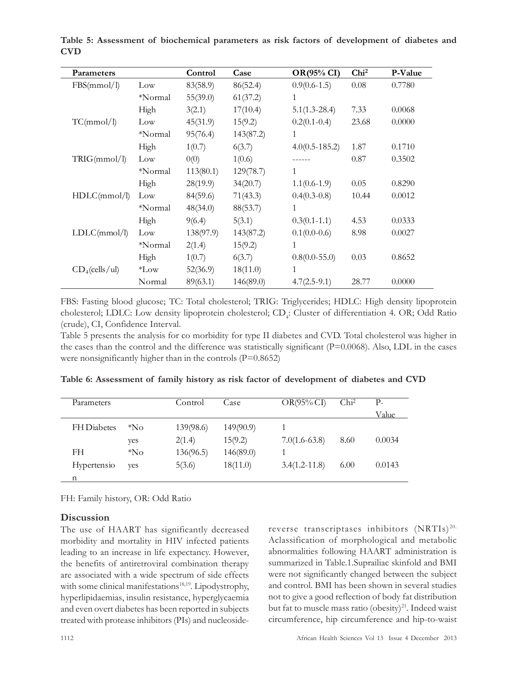| Parameters        |           | Control   | Case      | <b>OR(95% CI)</b> | Chi <sup>2</sup> | P-Value |
|-------------------|-----------|-----------|-----------|-------------------|------------------|---------|
| FBS(mmol/l)       | Low       | 83(58.9)  | 86(52.4)  | $0.9(0.6-1.5)$    | 0.08             | 0.7780  |
|                   | *Normal   | 55(39.0)  | 61(37.2)  | 1                 |                  |         |
|                   | High      | 3(2.1)    | 17(10.4)  | $5.1(1.3-28.4)$   | 7.33             | 0.0068  |
| TC(mmol/l)        | Low       | 45(31.9)  | 15(9.2)   | $0.2(0.1 - 0.4)$  | 23.68            | 0.0000  |
|                   | *Normal   | 95(76.4)  | 143(87.2) | 1                 |                  |         |
|                   | High      | 1(0.7)    | 6(3.7)    | $4.0(0.5-185.2)$  | 1.87             | 0.1710  |
| TRIG(mmol/l)      | Low       | 0(0)      | 1(0.6)    |                   | 0.87             | 0.3502  |
|                   | *Normal   | 113(80.1) | 129(78.7) | 1                 |                  |         |
|                   | High      | 28(19.9)  | 34(20.7)  | $1.1(0.6-1.9)$    | 0.05             | 0.8290  |
| HDLC(mmol/l)      | Low       | 84(59.6)  | 71(43.3)  | $0.4(0.3-0.8)$    | 10.44            | 0.0012  |
|                   | *Normal   | 48(34.0)  | 88(53.7)  | 1                 |                  |         |
|                   | High      | 9(6.4)    | 5(3.1)    | $0.3(0.1-1.1)$    | 4.53             | 0.0333  |
| LDLC(mmol/l)      | Low       | 138(97.9) | 143(87.2) | $0.1(0.0-0.6)$    | 8.98             | 0.0027  |
|                   | *Normal   | 2(1.4)    | 15(9.2)   | 1                 |                  |         |
|                   | High      | 1(0.7)    | 6(3.7)    | $0.8(0.0 - 55.0)$ | 0.03             | 0.8652  |
| $CD_4$ (cells/ul) | $*_{Low}$ | 52(36.9)  | 18(11.0)  | 1                 |                  |         |
|                   | Normal    | 89(63.1)  | 146(89.0) | $4.7(2.5-9.1)$    | 28.77            | 0.0000  |

Table 5: Assessment of biochemical parameters as risk factors of development of diabetes and CVD

FBS: Fasting blood glucose; TC: Total cholesterol; TRIG: Triglycerides; HDLC: High density lipoprotein cholesterol; LDLC: Low density lipoprotein cholesterol; CD<sub>4</sub>: Cluster of differentiation 4. OR; Odd Ratio (crude), CI, Confidence Interval.

Table 5 presents the analysis for co morbidity for type II diabetes and CVD. Total cholesterol was higher in the cases than the control and the difference was statistically significant (P=0.0068). Also, LDL in the cases were nonsignificantly higher than in the controls  $(P=0.8652)$ 

| Parameters         |       | Control   | Case      | $OR(95\% CI)$     | Chi <sup>2</sup> | $P_{-}$ |
|--------------------|-------|-----------|-----------|-------------------|------------------|---------|
|                    |       |           |           |                   |                  | Value   |
| <b>FH</b> Diabetes | $N_0$ | 139(98.6) | 149(90.9) |                   |                  |         |
|                    | ves   | 2(1.4)    | 15(9.2)   | $7.0(1.6-63.8)$   | 8.60             | 0.0034  |
| FH.                | $N_0$ | 136(96.5) | 146(89.0) |                   |                  |         |
| Hypertensio        | ves   | 5(3.6)    | 18(11.0)  | $3.4(1.2 - 11.8)$ | 6.00             | 0.0143  |
| n                  |       |           |           |                   |                  |         |

Table 6: Assessment of family history as risk factor of development of diabetes and CVD

FH: Family history, OR: Odd Ratio

# **Discussion**

The use of HAART has significantly decreased morbidity and mortality in HIV infected patients leading to an increase in life expectancy. However, the benefits of antiretroviral combination therapy are associated with a wide spectrum of side effects with some clinical manifestations<sup>18,19</sup>. Lipodystrophy, hyperlipidaemias, insulin resistance, hyperglycaemia and even overt diabetes has been reported in subjects treated with protease inhibitors (PIs) and nucleosidereverse transcriptases inhibitors (NRTIs)<sup>20.</sup> Aclassification of morphological and metabolic abnormalities following HAART administration is summarized in Table.1.Suprailiac skinfold and BMI were not significantly changed between the subject and control. BMI has been shown in several studies not to give a good reflection of body fat distribution but fat to muscle mass ratio (obesity)<sup>21</sup>. Indeed waist circumference, hip circumference and hip-to-waist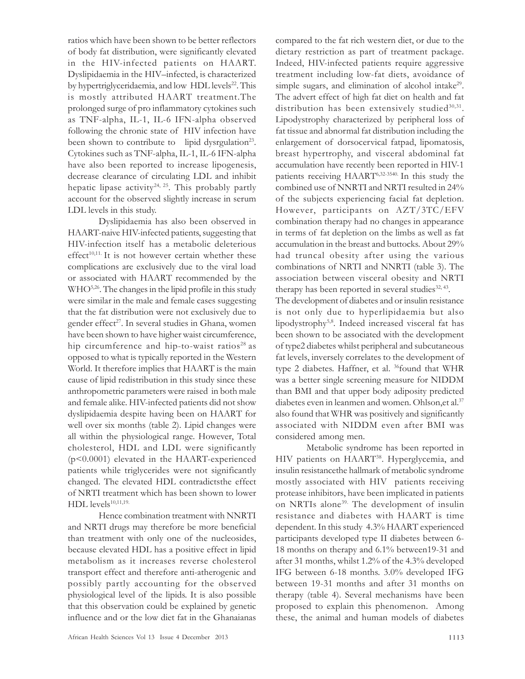ratios which have been shown to be better reflectors of body fat distribution, were significantly elevated in the HIV-infected patients on HAART. Dyslipidaemia in the HIV–infected, is characterized by hypertriglyceridaemia, and low HDL levels<sup>22</sup>. This is mostly attributed HAART treatment.The prolonged surge of pro inflammatory cytokines such as TNF-alpha, IL-1, IL-6 IFN-alpha observed following the chronic state of HIV infection have been shown to contribute to lipid dysrgulation<sup>23</sup>. Cytokines such as TNF-alpha, IL-1, IL-6 IFN-alpha have also been reported to increase lipogenesis, decrease clearance of circulating LDL and inhibit hepatic lipase activity<sup>24, 25</sup>. This probably partly account for the observed slightly increase in serum LDL levels in this study.

Dyslipidaemia has also been observed in HAART-naive HIV-infected patients, suggesting that HIV-infection itself has a metabolic deleterious effect<sup>10,11.</sup> It is not however certain whether these complications are exclusively due to the viral load or associated with HAART recommended by the WHO<sup>5,26</sup>. The changes in the lipid profile in this study were similar in the male and female cases suggesting that the fat distribution were not exclusively due to gender effect<sup>27</sup>. In several studies in Ghana, women have been shown to have higher waist circumference, hip circumference and hip-to-waist ratios<sup>28</sup> as opposed to what is typically reported in the Western World. It therefore implies that HAART is the main cause of lipid redistribution in this study since these anthropometric parameters were raised in both male and female alike. HIV-infected patients did not show dyslipidaemia despite having been on HAART for well over six months (table 2). Lipid changes were all within the physiological range. However, Total cholesterol, HDL and LDL were significantly (p<0.0001) elevated in the HAART-experienced patients while triglycerides were not significantly changed. The elevated HDL contradictsthe effect of NRTI treatment which has been shown to lower  $HDL$  levels $^{10,11,19}$ .

Hence combination treatment with NNRTI and NRTI drugs may therefore be more beneficial than treatment with only one of the nucleosides, because elevated HDL has a positive effect in lipid metabolism as it increases reverse cholesterol transport effect and therefore anti-atherogenic and possibly partly accounting for the observed physiological level of the lipids. It is also possible that this observation could be explained by genetic influence and or the low diet fat in the Ghanaianas compared to the fat rich western diet, or due to the dietary restriction as part of treatment package. Indeed, HIV-infected patients require aggressive treatment including low-fat diets, avoidance of simple sugars, and elimination of alcohol intake<sup>29</sup>. The advert effect of high fat diet on health and fat distribution has been extensively studied<sup>30,31</sup>. Lipodystrophy characterized by peripheral loss of fat tissue and abnormal fat distribution including the enlargement of dorsocervical fatpad, lipomatosis, breast hypertrophy, and visceral abdominal fat accumulation have recently been reported in HIV-1 patients receiving HAART<sup>6,32-3540.</sup> In this study the combined use of NNRTI and NRTI resulted in 24% of the subjects experiencing facial fat depletion. However, participants on AZT/3TC/EFV combination therapy had no changes in appearance in terms of fat depletion on the limbs as well as fat accumulation in the breast and buttocks. About 29% had truncal obesity after using the various combinations of NRTI and NNRTI (table 3). The association between visceral obesity and NRTI therapy has been reported in several studies<sup>32, 43</sup>.

The development of diabetes and or insulin resistance is not only due to hyperlipidaemia but also lipodystrophy5,8. Indeed increased visceral fat has been shown to be associated with the development of type2 diabetes whilst peripheral and subcutaneous fat levels, inversely correlates to the development of type 2 diabetes. Haffner, et al. <sup>36</sup>found that WHR was a better single screening measure for NIDDM than BMI and that upper body adiposity predicted diabetes even in leanmen and women. Ohlson, et al.<sup>37</sup> also found that WHR was positively and significantly associated with NIDDM even after BMI was considered among men.

Metabolic syndrome has been reported in HIV patients on HAART<sup>38</sup>. Hyperglycemia, and insulin resistancethe hallmark of metabolic syndrome mostly associated with HIV patients receiving protease inhibitors, have been implicated in patients on NRTIs alone<sup>39.</sup> The development of insulin resistance and diabetes with HAART is time dependent. In this study 4.3% HAART experienced participants developed type II diabetes between 6- 18 months on therapy and 6.1% between19-31 and after 31 months, whilst 1.2% of the 4.3% developed IFG between 6-18 months. 3.0% developed IFG between 19-31 months and after 31 months on therapy (table 4). Several mechanisms have been proposed to explain this phenomenon. Among these, the animal and human models of diabetes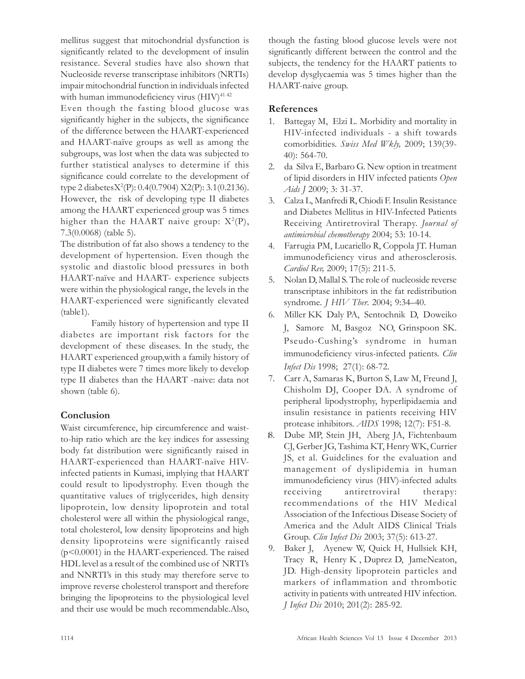mellitus suggest that mitochondrial dysfunction is significantly related to the development of insulin resistance. Several studies have also shown that Nucleoside reverse transcriptase inhibitors (NRTIs) impair mitochondrial function in individuals infected with human immunodeficiency virus (HIV)<sup>41 42</sup>

Even though the fasting blood glucose was significantly higher in the subjects, the significance of the difference between the HAART-experienced and HAART-naïve groups as well as among the subgroups, was lost when the data was subjected to further statistical analyses to determine if this significance could correlate to the development of type 2 diabetesX<sup>2</sup> (P): 0.4(0.7904) X2(P): 3.1(0.2136). However, the risk of developing type II diabetes among the HAART experienced group was 5 times higher than the HAART naive group:  $X^2(P)$ , 7.3(0.0068) (table 5).

The distribution of fat also shows a tendency to the development of hypertension. Even though the systolic and diastolic blood pressures in both HAART-naïve and HAART- experience subjects were within the physiological range, the levels in the HAART-experienced were significantly elevated (table1).

Family history of hypertension and type II diabetes are important risk factors for the development of these diseases. In the study, the HAART experienced group,with a family history of type II diabetes were 7 times more likely to develop type II diabetes than the HAART -naive: data not shown (table 6).

# **Conclusion**

Waist circumference, hip circumference and waistto-hip ratio which are the key indices for assessing body fat distribution were significantly raised in HAART-experienced than HAART-naïve HIVinfected patients in Kumasi, implying that HAART could result to lipodystrophy. Even though the quantitative values of triglycerides, high density lipoprotein, low density lipoprotein and total cholesterol were all within the physiological range, total cholesterol, low density lipoproteins and high density lipoproteins were significantly raised (p<0.0001) in the HAART-experienced. The raised HDL level as a result of the combined use of NRTI's and NNRTI's in this study may therefore serve to improve reverse cholesterol transport and therefore bringing the lipoproteins to the physiological level and their use would be much recommendable.Also,

though the fasting blood glucose levels were not significantly different between the control and the subjects, the tendency for the HAART patients to develop dysglycaemia was 5 times higher than the HAART-naive group.

## References

- 1. Battegay M, Elzi L. Morbidity and mortality in HIV-infected individuals - a shift towards comorbidities. Swiss Med Wkly, 2009; 139(39- 40): 564-70.
- 2. da Silva E, Barbaro G. New option in treatment of lipid disorders in HIV infected patients Open Aids *J* 2009; 3: 31-37.
- 3. Calza L, Manfredi R, Chiodi F. Insulin Resistance and Diabetes Mellitus in HIV-Infected Patients Receiving Antiretroviral Therapy. Journal of antimicrobial chemotherapy 2004; 53: 10-14.
- 4. Farrugia PM, Lucariello R, Coppola JT. Human immunodeficiency virus and atherosclerosis. Cardiol Rev, 2009; 17(5): 211-5.
- 5. Nolan D, Mallal S. The role of nucleoside reverse transcriptase inhibitors in the fat redistribution syndrome. J HIV Ther. 2004; 9:34–40.
- 6. Miller KK Daly PA, Sentochnik D, Doweiko J, Samore M, Basgoz NO, Grinspoon SK. Pseudo-Cushing's syndrome in human immunodeficiency virus-infected patients. Clin Infect Dis 1998; 27(1): 68-72.
- 7. Carr A, Samaras K, Burton S, Law M, Freund J, Chisholm DJ, Cooper DA. A syndrome of peripheral lipodystrophy, hyperlipidaemia and insulin resistance in patients receiving HIV protease inhibitors. AIDS 1998; 12(7): F51-8.
- 8. Dube MP, Stein JH, Aberg JA, Fichtenbaum CJ, Gerber JG, Tashima KT, Henry WK, Currier JS, et al. Guidelines for the evaluation and management of dyslipidemia in human immunodeficiency virus (HIV)-infected adults receiving antiretroviral therapy: recommendations of the HIV Medical Association of the Infectious Disease Society of America and the Adult AIDS Clinical Trials Group. *Clin Infect Dis* 2003; 37(5): 613-27.
- 9. Baker J, Ayenew W, Quick H, Hullsiek KH, Tracy R, Henry K , Duprez D, JameNeaton, JD. High-density lipoprotein particles and markers of inflammation and thrombotic activity in patients with untreated HIV infection. J Infect Dis 2010; 201(2): 285-92.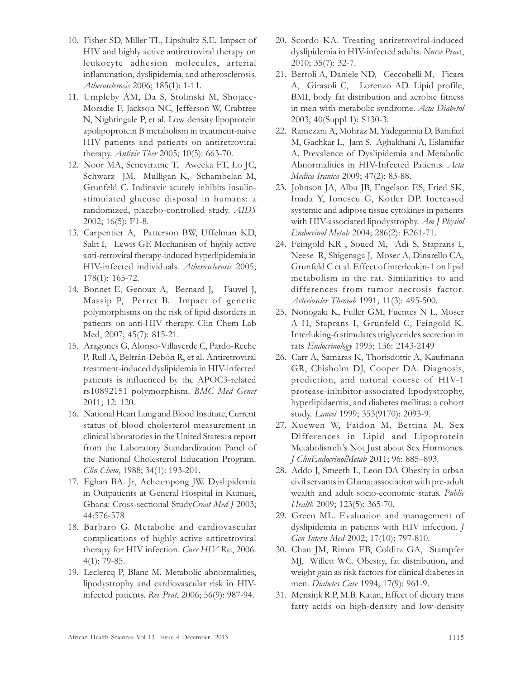- 10. Fisher SD, Miller TL, Lipshultz S.E. Impact of HIV and highly active antiretroviral therapy on leukocyte adhesion molecules, arterial inflammation, dyslipidemia, and atherosclerosis. Atherosclerosis 2006; 185(1): 1-11.
- 11. Umpleby AM, Da S, Stolinski M, Shojaee-Moradie F, Jackson NC, Jefferson W, Crabtree N, Nightingale P, et al. Low density lipoprotein apolipoprotein B metabolism in treatment-naive HIV patients and patients on antiretroviral therapy. *Antivir Ther* 2005; 10(5): 663-70.
- 12. Noor MA, Seneviratne T, Aweeka FT, Lo JC, Schwarz JM, Mulligan K, Schambelan M, Grunfeld C. Indinavir acutely inhibits insulinstimulated glucose disposal in humans: a randomized, placebo-controlled study. AIDS 2002; 16(5): F1-8.
- 13. Carpentier A, Patterson BW, Uffelman KD, Salit I, Lewis GF. Mechanism of highly active anti-retroviral therapy-induced hyperlipidemia in HIV-infected individuals. Atherosclerosis 2005; 178(1): 165-72.
- 14. Bonnet E, Genoux A, Bernard J, Fauvel J, Massip P, Perret B. Impact of genetic polymorphisms on the risk of lipid disorders in patients on anti-HIV therapy. Clin Chem Lab Med, 2007; 45(7): 815-21.
- 15. Aragones G, Alonso-Villaverde C, Pardo-Reche P, Rull A, Beltrán-Debón R, et al. Antiretroviral treatment-induced dyslipidemia in HIV-infected patients is influenced by the APOC3-related rs10892151 polymorphism. BMC Med Genet 2011; 12: 120.
- 16. National Heart Lung and Blood Institute, Current status of blood cholesterol measurement in clinical laboratories in the United States: a report from the Laboratory Standardization Panel of the National Cholesterol Education Program. Clin Chem, 1988; 34(1): 193-201.
- 17. Eghan BA. Jr, Acheampong JW. Dyslipidemia in Outpatients at General Hospital in Kumasi, Ghana: Cross-sectional StudyCroat Med J 2003; 44:576-578
- 18. Barbaro G. Metabolic and cardiovascular complications of highly active antiretroviral therapy for HIV infection. *Curr HIV Res*, 2006. 4(1): 79-85.
- 19. Leclercq P, Blanc M. Metabolic abnormalities, lipodystrophy and cardiovascular risk in HIVinfected patients. Rev Prat, 2006; 56(9): 987-94.
- 20. Scordo KA. Treating antiretroviral-induced dyslipidemia in HIV-infected adults. Nurse Pract, 2010; 35(7): 32-7.
- 21. Bertoli A, Daniele ND, Ceccobelli M, Ficara A, Girasoli C, Lorenzo AD. Lipid profile, BMI, body fat distribution and aerobic fitness in men with metabolic syndrome. Acta Diabetol 2003; 40(Suppl 1): S130-3.
- 22. Ramezani A, Mohraz M, Yadegarinia D, Banifazl M, Gachkar L, Jam S, Aghakhani A, Eslamifar A. Prevalence of Dyslipidemia and Metabolic Abnormalities in HIV-Infected Patients. Acta Medica Iranica 2009; 47(2): 83-88.
- 23. Johnson JA, Albu JB, Engelson ES, Fried SK, Inada Y, Ionescu G, Kotler DP. Increased systemic and adipose tissue cytokines in patients with HIV-associated lipodystrophy. Am J Physiol Endocrinol Metab 2004; 286(2): E261-71.
- 24. Feingold KR , Soued M, Adi S, Staprans I, Neese R, Shigenaga J, Moser A, Dinarello CA, Grunfeld C et al. Effect of interleukin-1 on lipid metabolism in the rat. Similarities to and differences from tumor necrosis factor. Arterioscler Thromb 1991; 11(3): 495-500.
- 25. Nonogaki K, Fuller GM, Fuentes N L, Moser A H, Staprans I, Grunfeld C, Feingold K. Interluking-6 stimulates triglycerides secretion in rats Endocrinology 1995; 136: 2143-2149
- 26. Carr A, Samaras K, Thorisdottir A, Kaufmann GR, Chisholm DJ, Cooper DA. Diagnosis, prediction, and natural course of HIV-1 protease-inhibitor-associated lipodystrophy, hyperlipidaemia, and diabetes mellitus: a cohort study. Lancet 1999; 353(9170): 2093-9.
- 27. Xuewen W, Faidon M, Bettina M. Sex Differences in Lipid and Lipoprotein Metabolism:It's Not Just about Sex Hormones. J ClinEndocrinolMetab 2011; 96: 885–893.
- 28. Addo J, Smeeth L, Leon DA Obesity in urban civil servants in Ghana: association with pre-adult wealth and adult socio-economic status. Public Health 2009; 123(5): 365-70.
- 29. Green ML. Evaluation and management of dyslipidemia in patients with HIV infection. J Gen Intern Med 2002; 17(10): 797-810.
- 30. Chan JM, Rimm EB, Colditz GA, Stampfer MJ, Willett WC. Obesity, fat distribution, and weight gain as risk factors for clinical diabetes in men. Diabetes Care 1994; 17(9): 961-9.
- 31. Mensink R.P, M.B. Katan, Effect of dietary trans fatty acids on high-density and low-density